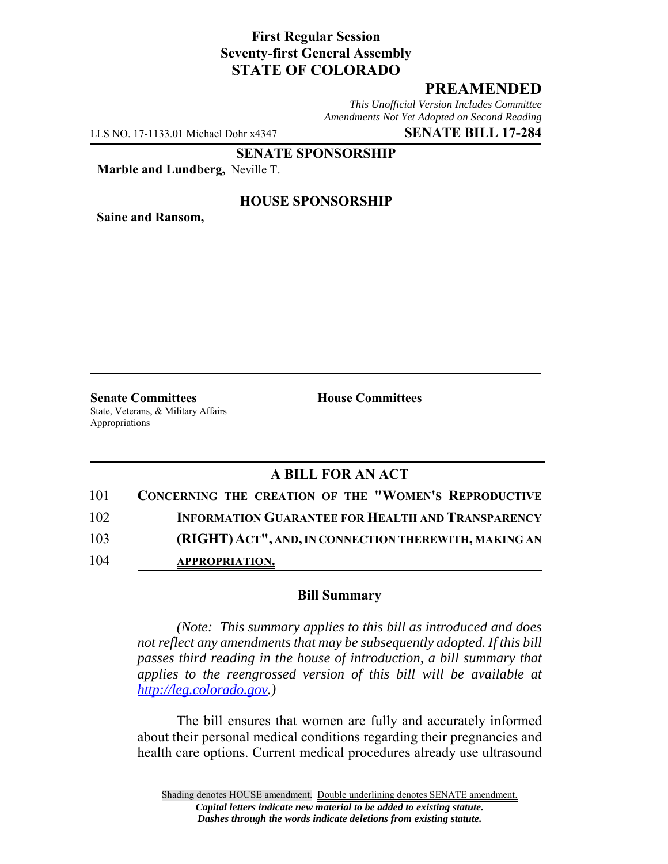# **First Regular Session Seventy-first General Assembly STATE OF COLORADO**

# **PREAMENDED**

*This Unofficial Version Includes Committee Amendments Not Yet Adopted on Second Reading*

LLS NO. 17-1133.01 Michael Dohr x4347 **SENATE BILL 17-284**

**SENATE SPONSORSHIP**

**Marble and Lundberg,** Neville T.

**Saine and Ransom,**

### **HOUSE SPONSORSHIP**

**Senate Committees House Committees** State, Veterans, & Military Affairs Appropriations

### **A BILL FOR AN ACT**

| 101 | <b>CONCERNING THE CREATION OF THE "WOMEN'S REPRODUCTIVE</b> |
|-----|-------------------------------------------------------------|
| 102 | <b>INFORMATION GUARANTEE FOR HEALTH AND TRANSPARENCY</b>    |
| 103 | (RIGHT) ACT", AND, IN CONNECTION THEREWITH, MAKING AN       |
| 104 | <b>APPROPRIATION.</b>                                       |

#### **Bill Summary**

*(Note: This summary applies to this bill as introduced and does not reflect any amendments that may be subsequently adopted. If this bill passes third reading in the house of introduction, a bill summary that applies to the reengrossed version of this bill will be available at http://leg.colorado.gov.)*

The bill ensures that women are fully and accurately informed about their personal medical conditions regarding their pregnancies and health care options. Current medical procedures already use ultrasound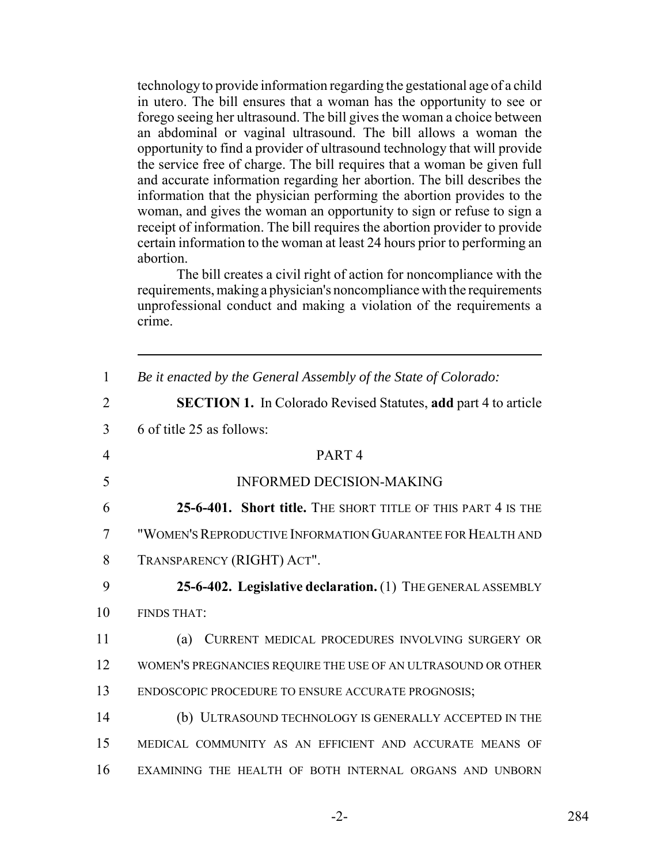technology to provide information regarding the gestational age of a child in utero. The bill ensures that a woman has the opportunity to see or forego seeing her ultrasound. The bill gives the woman a choice between an abdominal or vaginal ultrasound. The bill allows a woman the opportunity to find a provider of ultrasound technology that will provide the service free of charge. The bill requires that a woman be given full and accurate information regarding her abortion. The bill describes the information that the physician performing the abortion provides to the woman, and gives the woman an opportunity to sign or refuse to sign a receipt of information. The bill requires the abortion provider to provide certain information to the woman at least 24 hours prior to performing an abortion.

The bill creates a civil right of action for noncompliance with the requirements, making a physician's noncompliance with the requirements unprofessional conduct and making a violation of the requirements a crime.

| $\mathbf{1}$   | Be it enacted by the General Assembly of the State of Colorado:       |
|----------------|-----------------------------------------------------------------------|
| $\overline{2}$ | <b>SECTION 1.</b> In Colorado Revised Statutes, add part 4 to article |
| 3              | 6 of title 25 as follows:                                             |
| $\overline{4}$ | PART <sub>4</sub>                                                     |
| 5              | <b>INFORMED DECISION-MAKING</b>                                       |
| 6              | 25-6-401. Short title. THE SHORT TITLE OF THIS PART 4 IS THE          |
| $\overline{7}$ | "WOMEN'S REPRODUCTIVE INFORMATION GUARANTEE FOR HEALTH AND            |
| 8              | TRANSPARENCY (RIGHT) ACT".                                            |
| 9              | 25-6-402. Legislative declaration. (1) THE GENERAL ASSEMBLY           |
| 10             | <b>FINDS THAT:</b>                                                    |
| 11             | CURRENT MEDICAL PROCEDURES INVOLVING SURGERY OR<br>(a)                |
| 12             | WOMEN'S PREGNANCIES REQUIRE THE USE OF AN ULTRASOUND OR OTHER         |
| 13             | ENDOSCOPIC PROCEDURE TO ENSURE ACCURATE PROGNOSIS;                    |
| 14             | (b) ULTRASOUND TECHNOLOGY IS GENERALLY ACCEPTED IN THE                |
| 15             | MEDICAL COMMUNITY AS AN EFFICIENT AND ACCURATE MEANS OF               |
| 16             | EXAMINING THE HEALTH OF BOTH INTERNAL ORGANS AND UNBORN               |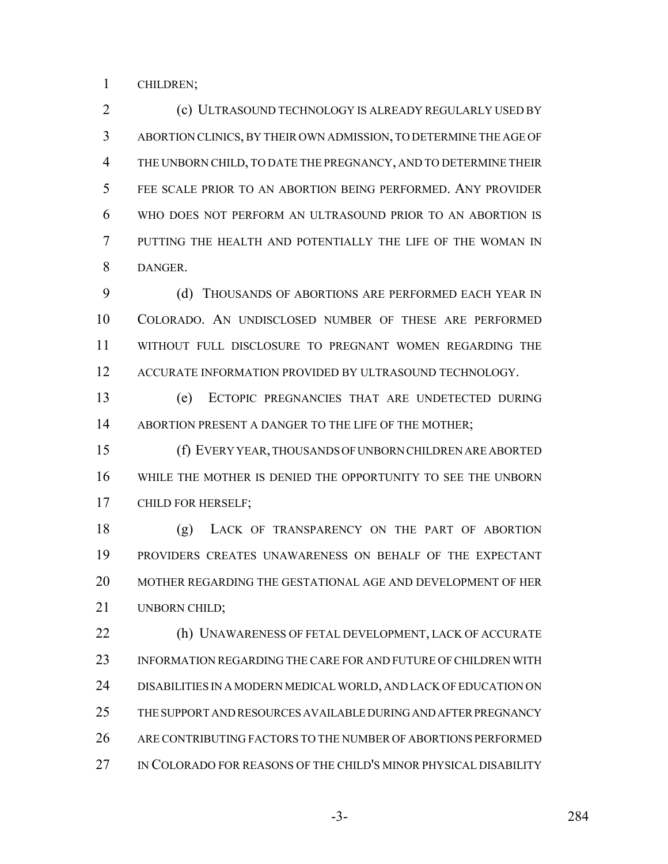CHILDREN;

 (c) ULTRASOUND TECHNOLOGY IS ALREADY REGULARLY USED BY ABORTION CLINICS, BY THEIR OWN ADMISSION, TO DETERMINE THE AGE OF THE UNBORN CHILD, TO DATE THE PREGNANCY, AND TO DETERMINE THEIR FEE SCALE PRIOR TO AN ABORTION BEING PERFORMED. ANY PROVIDER WHO DOES NOT PERFORM AN ULTRASOUND PRIOR TO AN ABORTION IS PUTTING THE HEALTH AND POTENTIALLY THE LIFE OF THE WOMAN IN DANGER.

9 (d) THOUSANDS OF ABORTIONS ARE PERFORMED EACH YEAR IN COLORADO. AN UNDISCLOSED NUMBER OF THESE ARE PERFORMED WITHOUT FULL DISCLOSURE TO PREGNANT WOMEN REGARDING THE 12 ACCURATE INFORMATION PROVIDED BY ULTRASOUND TECHNOLOGY.

 (e) ECTOPIC PREGNANCIES THAT ARE UNDETECTED DURING 14 ABORTION PRESENT A DANGER TO THE LIFE OF THE MOTHER;

 (f) EVERY YEAR, THOUSANDS OF UNBORN CHILDREN ARE ABORTED WHILE THE MOTHER IS DENIED THE OPPORTUNITY TO SEE THE UNBORN CHILD FOR HERSELF;

 (g) LACK OF TRANSPARENCY ON THE PART OF ABORTION PROVIDERS CREATES UNAWARENESS ON BEHALF OF THE EXPECTANT MOTHER REGARDING THE GESTATIONAL AGE AND DEVELOPMENT OF HER UNBORN CHILD;

22 (h) UNAWARENESS OF FETAL DEVELOPMENT, LACK OF ACCURATE INFORMATION REGARDING THE CARE FOR AND FUTURE OF CHILDREN WITH DISABILITIES IN A MODERN MEDICAL WORLD, AND LACK OF EDUCATION ON THE SUPPORT AND RESOURCES AVAILABLE DURING AND AFTER PREGNANCY ARE CONTRIBUTING FACTORS TO THE NUMBER OF ABORTIONS PERFORMED IN COLORADO FOR REASONS OF THE CHILD'S MINOR PHYSICAL DISABILITY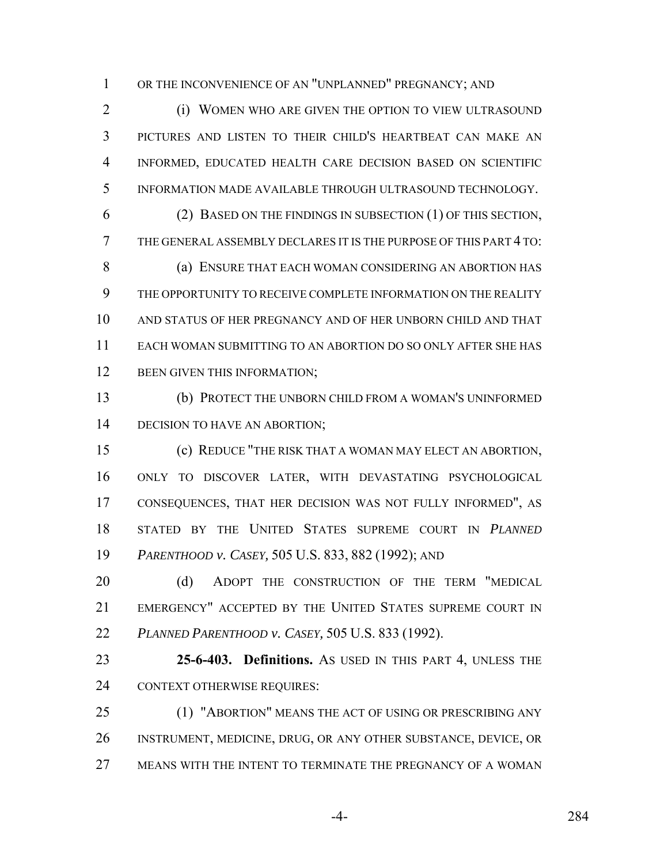OR THE INCONVENIENCE OF AN "UNPLANNED" PREGNANCY; AND

2 (i) WOMEN WHO ARE GIVEN THE OPTION TO VIEW ULTRASOUND PICTURES AND LISTEN TO THEIR CHILD'S HEARTBEAT CAN MAKE AN INFORMED, EDUCATED HEALTH CARE DECISION BASED ON SCIENTIFIC INFORMATION MADE AVAILABLE THROUGH ULTRASOUND TECHNOLOGY.

 (2) BASED ON THE FINDINGS IN SUBSECTION (1) OF THIS SECTION, THE GENERAL ASSEMBLY DECLARES IT IS THE PURPOSE OF THIS PART 4 TO: 8 (a) ENSURE THAT EACH WOMAN CONSIDERING AN ABORTION HAS THE OPPORTUNITY TO RECEIVE COMPLETE INFORMATION ON THE REALITY AND STATUS OF HER PREGNANCY AND OF HER UNBORN CHILD AND THAT EACH WOMAN SUBMITTING TO AN ABORTION DO SO ONLY AFTER SHE HAS 12 BEEN GIVEN THIS INFORMATION;

 (b) PROTECT THE UNBORN CHILD FROM A WOMAN'S UNINFORMED 14 DECISION TO HAVE AN ABORTION;

 (c) REDUCE "THE RISK THAT A WOMAN MAY ELECT AN ABORTION, ONLY TO DISCOVER LATER, WITH DEVASTATING PSYCHOLOGICAL CONSEQUENCES, THAT HER DECISION WAS NOT FULLY INFORMED", AS STATED BY THE UNITED STATES SUPREME COURT IN *PLANNED PARENTHOOD v. CASEY,* 505 U.S. 833, 882 (1992); AND

20 (d) ADOPT THE CONSTRUCTION OF THE TERM "MEDICAL EMERGENCY" ACCEPTED BY THE UNITED STATES SUPREME COURT IN *PLANNED PARENTHOOD v. CASEY,* 505 U.S. 833 (1992).

 **25-6-403. Definitions.** AS USED IN THIS PART 4, UNLESS THE CONTEXT OTHERWISE REQUIRES:

 (1) "ABORTION" MEANS THE ACT OF USING OR PRESCRIBING ANY INSTRUMENT, MEDICINE, DRUG, OR ANY OTHER SUBSTANCE, DEVICE, OR MEANS WITH THE INTENT TO TERMINATE THE PREGNANCY OF A WOMAN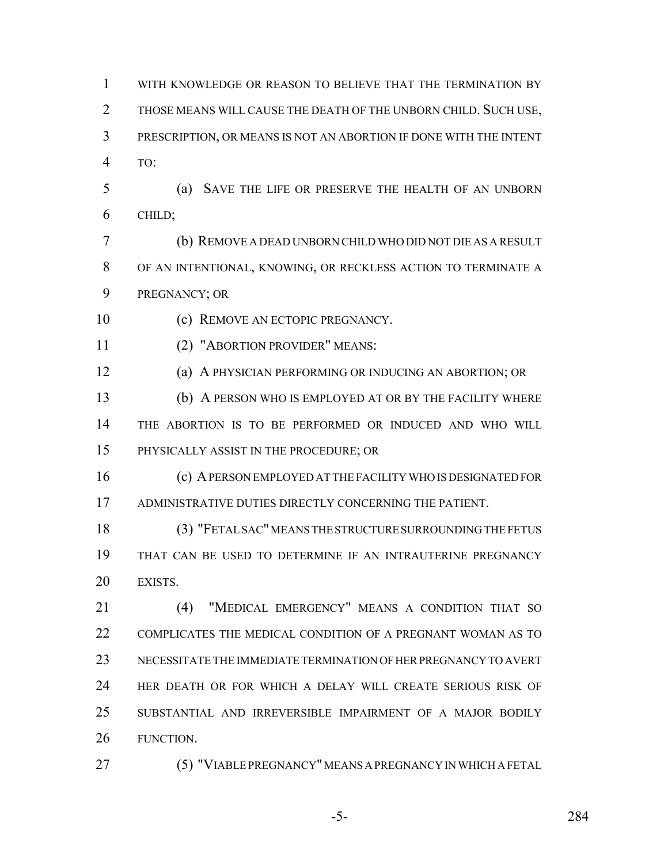| $\mathbf{1}$   | WITH KNOWLEDGE OR REASON TO BELIEVE THAT THE TERMINATION BY       |
|----------------|-------------------------------------------------------------------|
| $\overline{2}$ | THOSE MEANS WILL CAUSE THE DEATH OF THE UNBORN CHILD. SUCH USE,   |
| 3              | PRESCRIPTION, OR MEANS IS NOT AN ABORTION IF DONE WITH THE INTENT |
| $\overline{4}$ | TO:                                                               |
| 5              | SAVE THE LIFE OR PRESERVE THE HEALTH OF AN UNBORN<br>(a)          |
| 6              | CHILD;                                                            |
| 7              | (b) REMOVE A DEAD UNBORN CHILD WHO DID NOT DIE AS A RESULT        |
| 8              | OF AN INTENTIONAL, KNOWING, OR RECKLESS ACTION TO TERMINATE A     |
| 9              | PREGNANCY; OR                                                     |
| 10             | (c) REMOVE AN ECTOPIC PREGNANCY.                                  |
| 11             | (2) "ABORTION PROVIDER" MEANS:                                    |
| 12             | (a) A PHYSICIAN PERFORMING OR INDUCING AN ABORTION; OR            |
| 13             | (b) A PERSON WHO IS EMPLOYED AT OR BY THE FACILITY WHERE          |
| 14             | THE ABORTION IS TO BE PERFORMED OR INDUCED AND WHO WILL           |
| 15             | PHYSICALLY ASSIST IN THE PROCEDURE; OR                            |
| 16             | (c) A PERSON EMPLOYED AT THE FACILITY WHO IS DESIGNATED FOR       |
| 17             | ADMINISTRATIVE DUTIES DIRECTLY CONCERNING THE PATIENT.            |
| 18             | (3) "FETAL SAC" MEANS THE STRUCTURE SURROUNDING THE FETUS         |
| 19             | THAT CAN BE USED TO DETERMINE IF AN INTRAUTERINE PREGNANCY        |
| 20             | EXISTS.                                                           |
| 21             | "MEDICAL EMERGENCY" MEANS A CONDITION THAT SO<br>(4)              |
| 22             | COMPLICATES THE MEDICAL CONDITION OF A PREGNANT WOMAN AS TO       |
| 23             | NECESSITATE THE IMMEDIATE TERMINATION OF HER PREGNANCY TO AVERT   |
| 24             | HER DEATH OR FOR WHICH A DELAY WILL CREATE SERIOUS RISK OF        |
| 25             | SUBSTANTIAL AND IRREVERSIBLE IMPAIRMENT OF A MAJOR BODILY         |
| 26             | FUNCTION.                                                         |

(5) "VIABLE PREGNANCY" MEANS A PREGNANCY IN WHICH A FETAL

-5- 284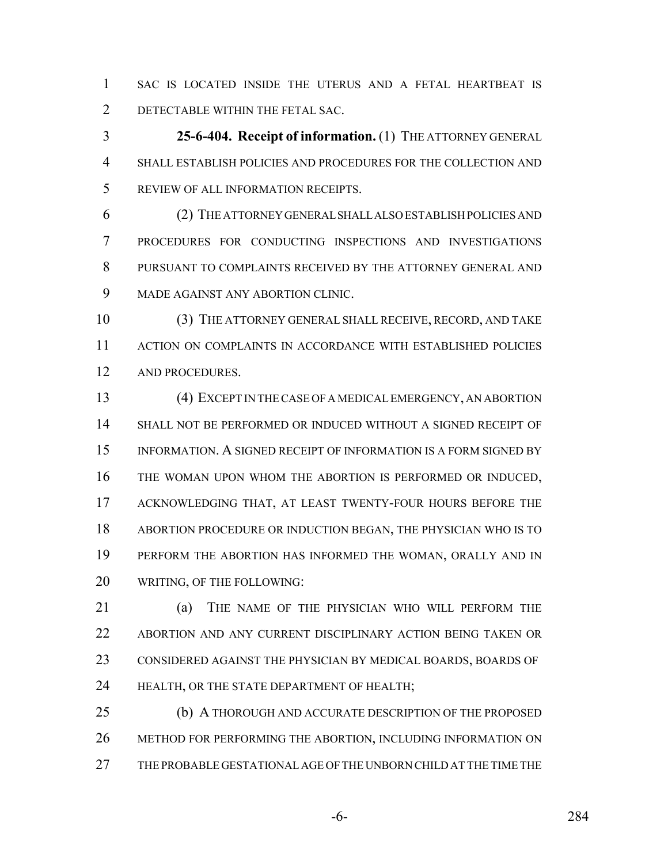SAC IS LOCATED INSIDE THE UTERUS AND A FETAL HEARTBEAT IS DETECTABLE WITHIN THE FETAL SAC.

 **25-6-404. Receipt of information.** (1) THE ATTORNEY GENERAL SHALL ESTABLISH POLICIES AND PROCEDURES FOR THE COLLECTION AND REVIEW OF ALL INFORMATION RECEIPTS.

 (2) THE ATTORNEY GENERAL SHALL ALSO ESTABLISH POLICIES AND PROCEDURES FOR CONDUCTING INSPECTIONS AND INVESTIGATIONS PURSUANT TO COMPLAINTS RECEIVED BY THE ATTORNEY GENERAL AND MADE AGAINST ANY ABORTION CLINIC.

 (3) THE ATTORNEY GENERAL SHALL RECEIVE, RECORD, AND TAKE ACTION ON COMPLAINTS IN ACCORDANCE WITH ESTABLISHED POLICIES AND PROCEDURES.

 (4) EXCEPT IN THE CASE OF A MEDICAL EMERGENCY, AN ABORTION SHALL NOT BE PERFORMED OR INDUCED WITHOUT A SIGNED RECEIPT OF INFORMATION. A SIGNED RECEIPT OF INFORMATION IS A FORM SIGNED BY THE WOMAN UPON WHOM THE ABORTION IS PERFORMED OR INDUCED, ACKNOWLEDGING THAT, AT LEAST TWENTY-FOUR HOURS BEFORE THE ABORTION PROCEDURE OR INDUCTION BEGAN, THE PHYSICIAN WHO IS TO PERFORM THE ABORTION HAS INFORMED THE WOMAN, ORALLY AND IN WRITING, OF THE FOLLOWING:

 (a) THE NAME OF THE PHYSICIAN WHO WILL PERFORM THE ABORTION AND ANY CURRENT DISCIPLINARY ACTION BEING TAKEN OR CONSIDERED AGAINST THE PHYSICIAN BY MEDICAL BOARDS, BOARDS OF HEALTH, OR THE STATE DEPARTMENT OF HEALTH;

 (b) A THOROUGH AND ACCURATE DESCRIPTION OF THE PROPOSED METHOD FOR PERFORMING THE ABORTION, INCLUDING INFORMATION ON THE PROBABLE GESTATIONAL AGE OF THE UNBORN CHILD AT THE TIME THE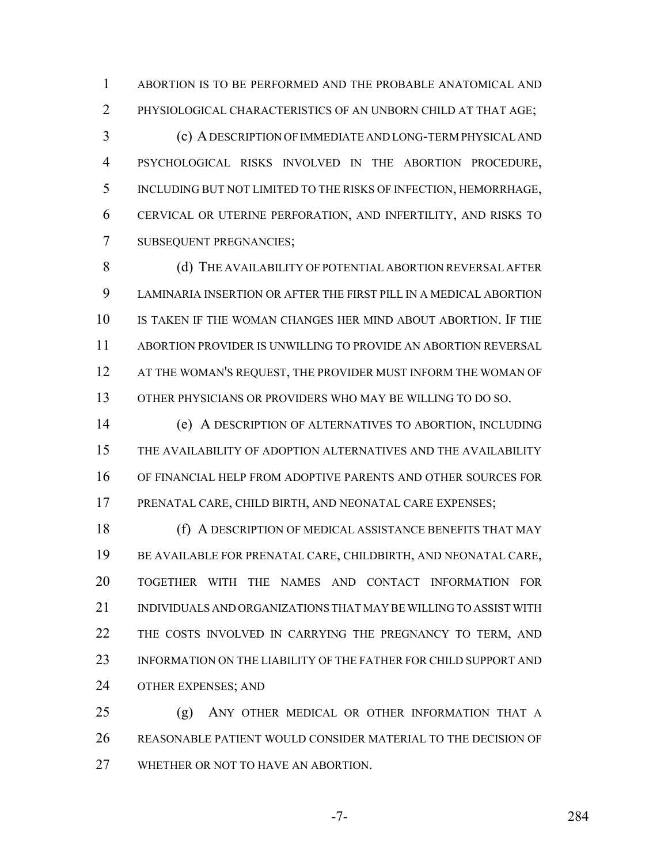ABORTION IS TO BE PERFORMED AND THE PROBABLE ANATOMICAL AND PHYSIOLOGICAL CHARACTERISTICS OF AN UNBORN CHILD AT THAT AGE;

 (c) A DESCRIPTION OF IMMEDIATE AND LONG-TERM PHYSICAL AND PSYCHOLOGICAL RISKS INVOLVED IN THE ABORTION PROCEDURE, INCLUDING BUT NOT LIMITED TO THE RISKS OF INFECTION, HEMORRHAGE, CERVICAL OR UTERINE PERFORATION, AND INFERTILITY, AND RISKS TO SUBSEQUENT PREGNANCIES;

8 (d) THE AVAILABILITY OF POTENTIAL ABORTION REVERSAL AFTER LAMINARIA INSERTION OR AFTER THE FIRST PILL IN A MEDICAL ABORTION IS TAKEN IF THE WOMAN CHANGES HER MIND ABOUT ABORTION. IF THE ABORTION PROVIDER IS UNWILLING TO PROVIDE AN ABORTION REVERSAL AT THE WOMAN'S REQUEST, THE PROVIDER MUST INFORM THE WOMAN OF OTHER PHYSICIANS OR PROVIDERS WHO MAY BE WILLING TO DO SO.

 (e) A DESCRIPTION OF ALTERNATIVES TO ABORTION, INCLUDING THE AVAILABILITY OF ADOPTION ALTERNATIVES AND THE AVAILABILITY OF FINANCIAL HELP FROM ADOPTIVE PARENTS AND OTHER SOURCES FOR PRENATAL CARE, CHILD BIRTH, AND NEONATAL CARE EXPENSES;

 (f) A DESCRIPTION OF MEDICAL ASSISTANCE BENEFITS THAT MAY BE AVAILABLE FOR PRENATAL CARE, CHILDBIRTH, AND NEONATAL CARE, TOGETHER WITH THE NAMES AND CONTACT INFORMATION FOR INDIVIDUALS AND ORGANIZATIONS THAT MAY BE WILLING TO ASSIST WITH 22 THE COSTS INVOLVED IN CARRYING THE PREGNANCY TO TERM, AND 23 INFORMATION ON THE LIABILITY OF THE FATHER FOR CHILD SUPPORT AND OTHER EXPENSES; AND

 (g) ANY OTHER MEDICAL OR OTHER INFORMATION THAT A REASONABLE PATIENT WOULD CONSIDER MATERIAL TO THE DECISION OF WHETHER OR NOT TO HAVE AN ABORTION.

-7- 284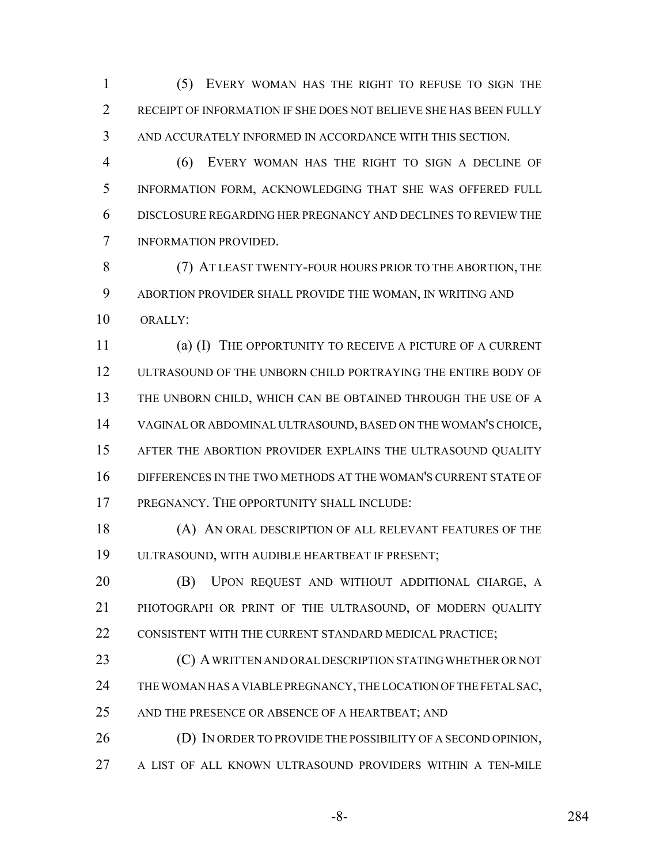(5) EVERY WOMAN HAS THE RIGHT TO REFUSE TO SIGN THE RECEIPT OF INFORMATION IF SHE DOES NOT BELIEVE SHE HAS BEEN FULLY AND ACCURATELY INFORMED IN ACCORDANCE WITH THIS SECTION.

 (6) EVERY WOMAN HAS THE RIGHT TO SIGN A DECLINE OF INFORMATION FORM, ACKNOWLEDGING THAT SHE WAS OFFERED FULL DISCLOSURE REGARDING HER PREGNANCY AND DECLINES TO REVIEW THE INFORMATION PROVIDED.

 (7) AT LEAST TWENTY-FOUR HOURS PRIOR TO THE ABORTION, THE ABORTION PROVIDER SHALL PROVIDE THE WOMAN, IN WRITING AND 10 ORALLY:

 (a) (I) THE OPPORTUNITY TO RECEIVE A PICTURE OF A CURRENT ULTRASOUND OF THE UNBORN CHILD PORTRAYING THE ENTIRE BODY OF THE UNBORN CHILD, WHICH CAN BE OBTAINED THROUGH THE USE OF A VAGINAL OR ABDOMINAL ULTRASOUND, BASED ON THE WOMAN'S CHOICE, AFTER THE ABORTION PROVIDER EXPLAINS THE ULTRASOUND QUALITY DIFFERENCES IN THE TWO METHODS AT THE WOMAN'S CURRENT STATE OF PREGNANCY. THE OPPORTUNITY SHALL INCLUDE:

 (A) AN ORAL DESCRIPTION OF ALL RELEVANT FEATURES OF THE ULTRASOUND, WITH AUDIBLE HEARTBEAT IF PRESENT;

 (B) UPON REQUEST AND WITHOUT ADDITIONAL CHARGE, A PHOTOGRAPH OR PRINT OF THE ULTRASOUND, OF MODERN QUALITY 22 CONSISTENT WITH THE CURRENT STANDARD MEDICAL PRACTICE;

**(C) A WRITTEN AND ORAL DESCRIPTION STATING WHETHER OR NOT** 24 THE WOMAN HAS A VIABLE PREGNANCY, THE LOCATION OF THE FETAL SAC, 25 AND THE PRESENCE OR ABSENCE OF A HEARTBEAT; AND

26 (D) IN ORDER TO PROVIDE THE POSSIBILITY OF A SECOND OPINION, A LIST OF ALL KNOWN ULTRASOUND PROVIDERS WITHIN A TEN-MILE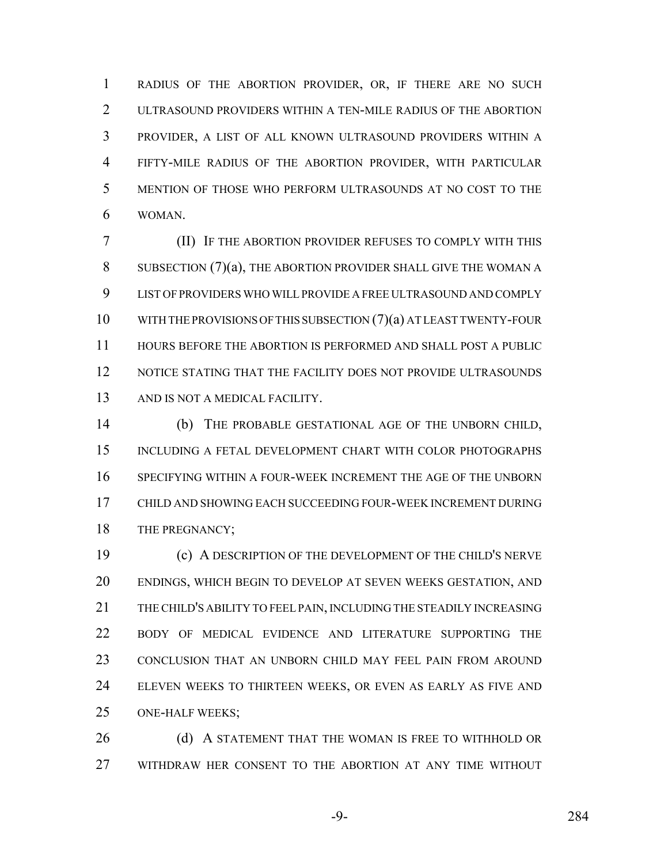RADIUS OF THE ABORTION PROVIDER, OR, IF THERE ARE NO SUCH ULTRASOUND PROVIDERS WITHIN A TEN-MILE RADIUS OF THE ABORTION PROVIDER, A LIST OF ALL KNOWN ULTRASOUND PROVIDERS WITHIN A FIFTY-MILE RADIUS OF THE ABORTION PROVIDER, WITH PARTICULAR MENTION OF THOSE WHO PERFORM ULTRASOUNDS AT NO COST TO THE WOMAN.

 (II) IF THE ABORTION PROVIDER REFUSES TO COMPLY WITH THIS SUBSECTION (7)(a), THE ABORTION PROVIDER SHALL GIVE THE WOMAN A LIST OF PROVIDERS WHO WILL PROVIDE A FREE ULTRASOUND AND COMPLY WITH THE PROVISIONS OF THIS SUBSECTION (7)(a) AT LEAST TWENTY-FOUR HOURS BEFORE THE ABORTION IS PERFORMED AND SHALL POST A PUBLIC NOTICE STATING THAT THE FACILITY DOES NOT PROVIDE ULTRASOUNDS AND IS NOT A MEDICAL FACILITY.

 (b) THE PROBABLE GESTATIONAL AGE OF THE UNBORN CHILD, INCLUDING A FETAL DEVELOPMENT CHART WITH COLOR PHOTOGRAPHS SPECIFYING WITHIN A FOUR-WEEK INCREMENT THE AGE OF THE UNBORN CHILD AND SHOWING EACH SUCCEEDING FOUR-WEEK INCREMENT DURING 18 THE PREGNANCY;

 (c) A DESCRIPTION OF THE DEVELOPMENT OF THE CHILD'S NERVE ENDINGS, WHICH BEGIN TO DEVELOP AT SEVEN WEEKS GESTATION, AND THE CHILD'S ABILITY TO FEEL PAIN, INCLUDING THE STEADILY INCREASING BODY OF MEDICAL EVIDENCE AND LITERATURE SUPPORTING THE CONCLUSION THAT AN UNBORN CHILD MAY FEEL PAIN FROM AROUND ELEVEN WEEKS TO THIRTEEN WEEKS, OR EVEN AS EARLY AS FIVE AND ONE-HALF WEEKS;

26 (d) A STATEMENT THAT THE WOMAN IS FREE TO WITHHOLD OR WITHDRAW HER CONSENT TO THE ABORTION AT ANY TIME WITHOUT

-9- 284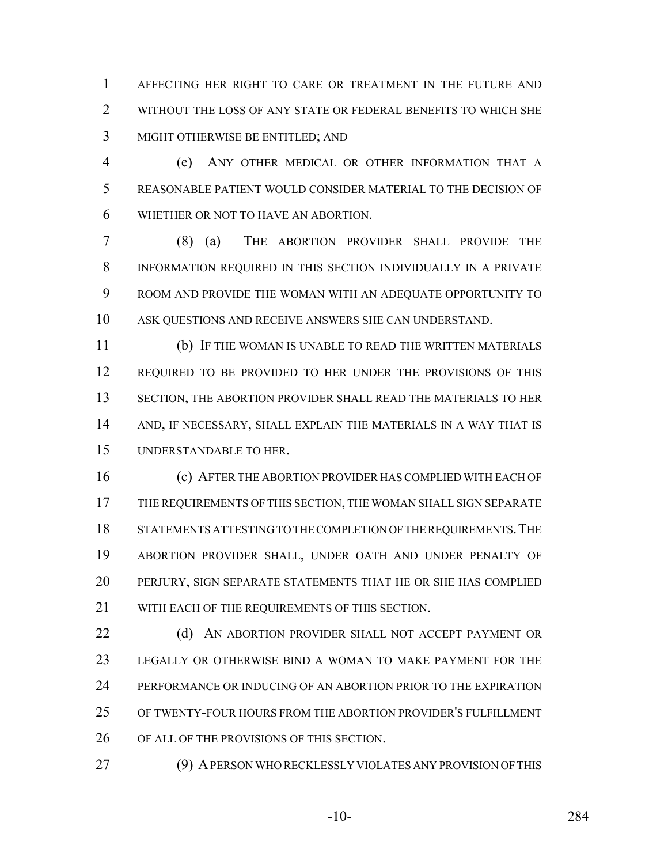AFFECTING HER RIGHT TO CARE OR TREATMENT IN THE FUTURE AND 2 WITHOUT THE LOSS OF ANY STATE OR FEDERAL BENEFITS TO WHICH SHE MIGHT OTHERWISE BE ENTITLED; AND

 (e) ANY OTHER MEDICAL OR OTHER INFORMATION THAT A REASONABLE PATIENT WOULD CONSIDER MATERIAL TO THE DECISION OF WHETHER OR NOT TO HAVE AN ABORTION.

 (8) (a) THE ABORTION PROVIDER SHALL PROVIDE THE INFORMATION REQUIRED IN THIS SECTION INDIVIDUALLY IN A PRIVATE ROOM AND PROVIDE THE WOMAN WITH AN ADEQUATE OPPORTUNITY TO ASK QUESTIONS AND RECEIVE ANSWERS SHE CAN UNDERSTAND.

 (b) IF THE WOMAN IS UNABLE TO READ THE WRITTEN MATERIALS REQUIRED TO BE PROVIDED TO HER UNDER THE PROVISIONS OF THIS SECTION, THE ABORTION PROVIDER SHALL READ THE MATERIALS TO HER AND, IF NECESSARY, SHALL EXPLAIN THE MATERIALS IN A WAY THAT IS UNDERSTANDABLE TO HER.

 (c) AFTER THE ABORTION PROVIDER HAS COMPLIED WITH EACH OF THE REQUIREMENTS OF THIS SECTION, THE WOMAN SHALL SIGN SEPARATE 18 STATEMENTS ATTESTING TO THE COMPLETION OF THE REQUIREMENTS. THE ABORTION PROVIDER SHALL, UNDER OATH AND UNDER PENALTY OF PERJURY, SIGN SEPARATE STATEMENTS THAT HE OR SHE HAS COMPLIED 21 WITH EACH OF THE REQUIREMENTS OF THIS SECTION.

**(d)** AN ABORTION PROVIDER SHALL NOT ACCEPT PAYMENT OR LEGALLY OR OTHERWISE BIND A WOMAN TO MAKE PAYMENT FOR THE PERFORMANCE OR INDUCING OF AN ABORTION PRIOR TO THE EXPIRATION OF TWENTY-FOUR HOURS FROM THE ABORTION PROVIDER'S FULFILLMENT OF ALL OF THE PROVISIONS OF THIS SECTION.

(9) A PERSON WHO RECKLESSLY VIOLATES ANY PROVISION OF THIS

-10- 284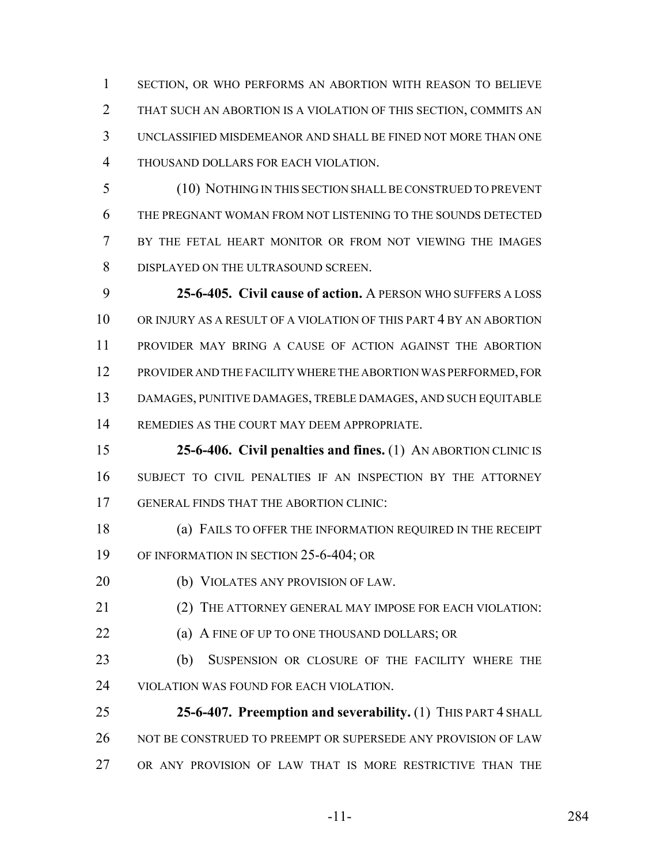SECTION, OR WHO PERFORMS AN ABORTION WITH REASON TO BELIEVE THAT SUCH AN ABORTION IS A VIOLATION OF THIS SECTION, COMMITS AN UNCLASSIFIED MISDEMEANOR AND SHALL BE FINED NOT MORE THAN ONE THOUSAND DOLLARS FOR EACH VIOLATION.

 (10) NOTHING IN THIS SECTION SHALL BE CONSTRUED TO PREVENT THE PREGNANT WOMAN FROM NOT LISTENING TO THE SOUNDS DETECTED BY THE FETAL HEART MONITOR OR FROM NOT VIEWING THE IMAGES DISPLAYED ON THE ULTRASOUND SCREEN.

 **25-6-405. Civil cause of action.** A PERSON WHO SUFFERS A LOSS OR INJURY AS A RESULT OF A VIOLATION OF THIS PART 4 BY AN ABORTION PROVIDER MAY BRING A CAUSE OF ACTION AGAINST THE ABORTION PROVIDER AND THE FACILITY WHERE THE ABORTION WAS PERFORMED, FOR DAMAGES, PUNITIVE DAMAGES, TREBLE DAMAGES, AND SUCH EQUITABLE REMEDIES AS THE COURT MAY DEEM APPROPRIATE.

 **25-6-406. Civil penalties and fines.** (1) AN ABORTION CLINIC IS SUBJECT TO CIVIL PENALTIES IF AN INSPECTION BY THE ATTORNEY GENERAL FINDS THAT THE ABORTION CLINIC:

 (a) FAILS TO OFFER THE INFORMATION REQUIRED IN THE RECEIPT OF INFORMATION IN SECTION 25-6-404; OR

(b) VIOLATES ANY PROVISION OF LAW.

(2) THE ATTORNEY GENERAL MAY IMPOSE FOR EACH VIOLATION:

- (a) A FINE OF UP TO ONE THOUSAND DOLLARS; OR
- (b) SUSPENSION OR CLOSURE OF THE FACILITY WHERE THE VIOLATION WAS FOUND FOR EACH VIOLATION.

 **25-6-407. Preemption and severability.** (1) THIS PART 4 SHALL 26 NOT BE CONSTRUED TO PREEMPT OR SUPERSEDE ANY PROVISION OF LAW OR ANY PROVISION OF LAW THAT IS MORE RESTRICTIVE THAN THE